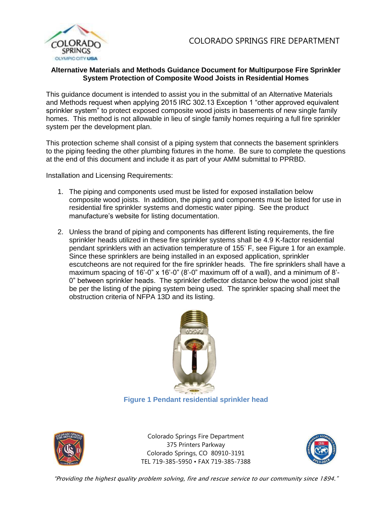

## **Alternative Materials and Methods Guidance Document for Multipurpose Fire Sprinkler System Protection of Composite Wood Joists in Residential Homes**

This guidance document is intended to assist you in the submittal of an Alternative Materials and Methods request when applying 2015 IRC 302.13 Exception 1 "other approved equivalent sprinkler system" to protect exposed composite wood joists in basements of new single family homes. This method is not allowable in lieu of single family homes requiring a full fire sprinkler system per the development plan.

This protection scheme shall consist of a piping system that connects the basement sprinklers to the piping feeding the other plumbing fixtures in the home. Be sure to complete the questions at the end of this document and include it as part of your AMM submittal to PPRBD.

Installation and Licensing Requirements:

- 1. The piping and components used must be listed for exposed installation below composite wood joists. In addition, the piping and components must be listed for use in residential fire sprinkler systems and domestic water piping. See the product manufacture's website for listing documentation.
- 2. Unless the brand of piping and components has different listing requirements, the fire sprinkler heads utilized in these fire sprinkler systems shall be 4.9 K-factor residential pendant sprinklers with an activation temperature of 155◦ F, see Figure 1 for an example. Since these sprinklers are being installed in an exposed application, sprinkler escutcheons are not required for the fire sprinkler heads. The fire sprinklers shall have a maximum spacing of  $16'$ -0" x  $16'$ -0"  $(8'$ -0" maximum off of a wall), and a minimum of  $8'$ -0" between sprinkler heads. The sprinkler deflector distance below the wood joist shall be per the listing of the piping system being used. The sprinkler spacing shall meet the obstruction criteria of NFPA 13D and its listing.



**Figure 1 Pendant residential sprinkler head**



Colorado Springs Fire Department 375 Printers Parkway Colorado Springs, CO 80910-3191 TEL 719-385-5950 • FAX 719-385-7388

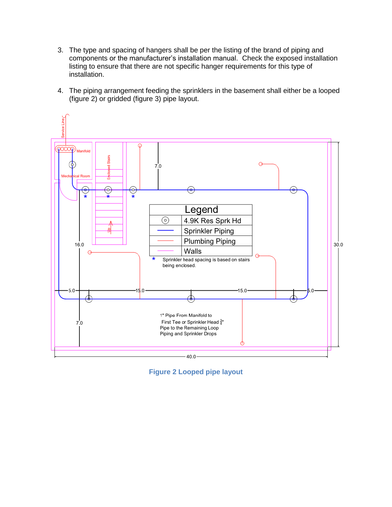- 3. The type and spacing of hangers shall be per the listing of the brand of piping and components or the manufacturer's installation manual. Check the exposed installation listing to ensure that there are not specific hanger requirements for this type of installation.
- 4. The piping arrangement feeding the sprinklers in the basement shall either be a looped (figure 2) or gridded (figure 3) pipe layout.



**Figure 2 Looped pipe layout**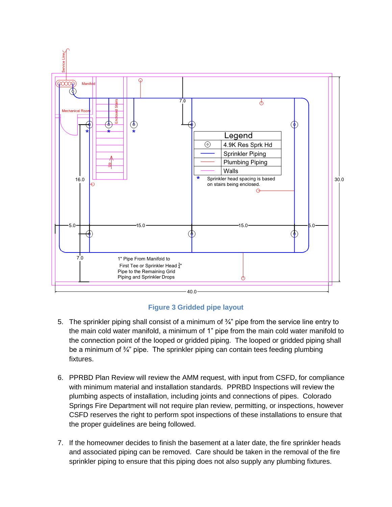

**Figure 3 Gridded pipe layout**

- 5. The sprinkler piping shall consist of a minimum of  $\frac{3}{4}$ " pipe from the service line entry to the main cold water manifold, a minimum of 1" pipe from the main cold water manifold to the connection point of the looped or gridded piping. The looped or gridded piping shall be a minimum of ¾" pipe. The sprinkler piping can contain tees feeding plumbing fixtures.
- 6. PPRBD Plan Review will review the AMM request, with input from CSFD, for compliance with minimum material and installation standards. PPRBD Inspections will review the plumbing aspects of installation, including joints and connections of pipes. Colorado Springs Fire Department will not require plan review, permitting, or inspections, however CSFD reserves the right to perform spot inspections of these installations to ensure that the proper guidelines are being followed.
- 7. If the homeowner decides to finish the basement at a later date, the fire sprinkler heads and associated piping can be removed. Care should be taken in the removal of the fire sprinkler piping to ensure that this piping does not also supply any plumbing fixtures.